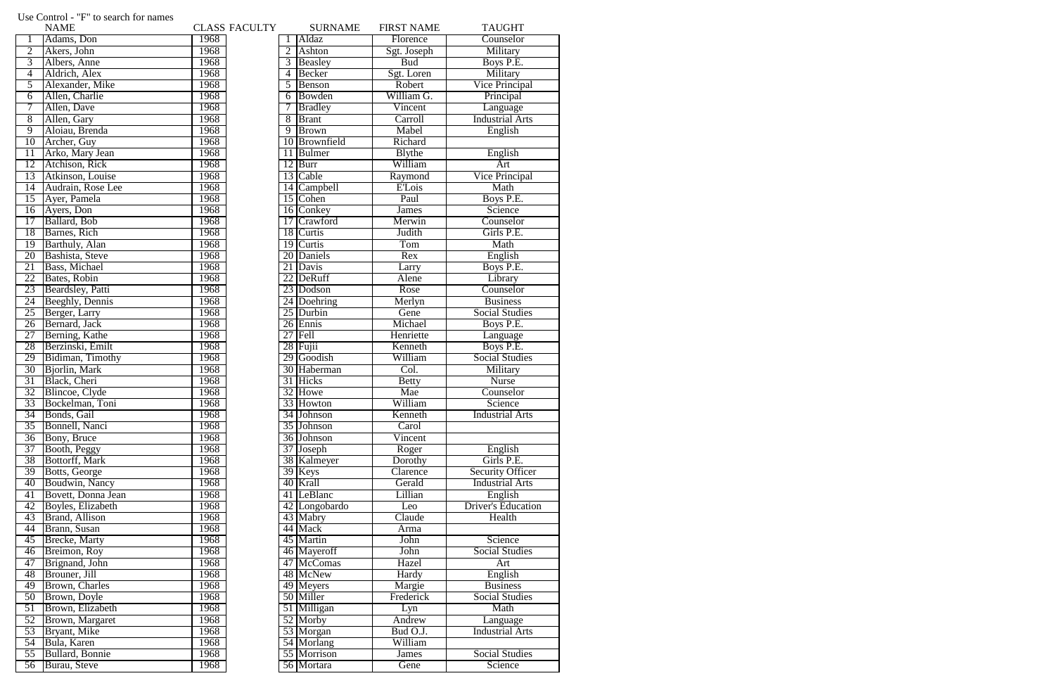|                 | <b>NAME</b>         |              | <b>CLASS FACULTY</b> |   | <b>SURNAME</b> | <b>FIRST NAME</b> | <b>TAUGHT</b>             |
|-----------------|---------------------|--------------|----------------------|---|----------------|-------------------|---------------------------|
|                 | Adams, Don          | 1968         |                      |   | Aldaz          | Florence          | Counselor                 |
| $\overline{2}$  | Akers, John         | 1968         |                      | 2 | Ashton         | Sgt. Joseph       | Military                  |
| $\overline{3}$  | Albers, Anne        | 1968         |                      |   | Beasley        | <b>Bud</b>        | Boys P.E.                 |
| $\overline{4}$  | Aldrich, Alex       | 1968         |                      | 4 | Becker         | Sgt. Loren        | Military                  |
| $\overline{5}$  | Alexander, Mike     | 1968         |                      | 5 | Benson         | Robert            | <b>Vice Principal</b>     |
| 6               | Allen, Charlie      | 1968         |                      | 6 | Bowden         | William G.        | Principal                 |
| 7               | Allen, Dave         | 1968         |                      |   | <b>Bradley</b> | Vincent           | Language                  |
| $\overline{8}$  | Allen, Gary         | 1968         |                      | 8 | Brant          | Carroll           | <b>Industrial Arts</b>    |
| $\overline{9}$  | Aloiau, Brenda      | 1968         |                      | 9 | <b>Brown</b>   | Mabel             | English                   |
| 10              | Archer, Guy         | 1968         |                      |   | 10 Brownfield  | Richard           |                           |
| 11              | Arko, Mary Jean     | 1968         |                      |   | 11 Bulmer      | <b>B</b> lythe    | English                   |
| 12              | Atchison, Rick      | 1968         |                      |   | $12$ Burr      | William           | Art                       |
| 13              | Atkinson, Louise    | 1968         |                      |   | 13 Cable       | Raymond           | <b>Vice Principal</b>     |
| $\overline{14}$ | Audrain, Rose Lee   | 1968         |                      |   | 14 Campbell    | <b>E'Lois</b>     | Math                      |
| 15              | Ayer, Pamela        | 1968         |                      |   | 15 Cohen       | Paul              | Boys P.E.                 |
| 16              | Ayers, Don          | 1968         |                      |   | 16 Conkey      | <b>James</b>      | Science                   |
| 17              | Ballard, Bob        | 1968         |                      |   | 17 Crawford    | Merwin            | Counselor                 |
| 18              | Barnes, Rich        | 1968         |                      |   | 18 Curtis      | Judith            | Girls P.E.                |
| $\overline{19}$ | Barthuly, Alan      | 1968         |                      |   | 19 Curtis      | Tom               | Math                      |
| 20              | Bashista, Steve     | 1968         |                      |   | 20 Daniels     | Rex               | English                   |
| 21              | Bass, Michael       | 1968         |                      |   | 21 Davis       | Larry             | Boys P.E.                 |
| 22              | Bates, Robin        | 1968         |                      |   | 22 DeRuff      | Alene             | Library                   |
| 23              | Beardsley, Patti    | 1968         |                      |   | 23 Dodson      | Rose              | Counselor                 |
| 24              | Beeghly, Dennis     | 1968         |                      |   | 24 Doehring    | Merlyn            | <b>Business</b>           |
| 25              | Berger, Larry       | 1968         |                      |   | 25 Durbin      | Gene              | <b>Social Studies</b>     |
| 26              | Bernard, Jack       | 1968         |                      |   | 26 Ennis       | Michael           | Boys P.E.                 |
| 27              | Berning, Kathe      | 1968         |                      |   | $27$ Fell      | Henriette         |                           |
| 28              | Berzinski, Emilt    | 1968         |                      |   | $28$ Fujii     | Kenneth           | Language<br>Boys P.E.     |
| 29              | Bidiman, Timothy    | 1968         |                      |   | 29 Goodish     | William           | <b>Social Studies</b>     |
| 30              | Bjorlin, Mark       | 1968         |                      |   | 30 Haberman    | Col.              | Military                  |
| 31              | Black, Cheri        | 1968         |                      |   | 31 Hicks       | <b>Betty</b>      | <b>Nurse</b>              |
| 32              | Blincoe, Clyde      | 1968         |                      |   | 32 Howe        | Mae               | Counselor                 |
| 33              | Bockelman, Toni     | 1968         |                      |   | 33 Howton      | William           | Science                   |
| 34              | Bonds, Gail         | 1968         |                      |   | 34 Johnson     | Kenneth           | <b>Industrial Arts</b>    |
| 35              | Bonnell, Nanci      | 1968         |                      |   | 35 Johnson     | Carol             |                           |
| 36              |                     | 1968         |                      |   | 36 Johnson     | Vincent           |                           |
|                 | <b>Bony</b> , Bruce |              |                      |   | 37 Joseph      |                   |                           |
| 37              | Booth, Peggy        | 1968         |                      |   |                | Roger             | English<br>Girls P.E.     |
| 38              | Bottorff, Mark      | 1968         |                      |   | 38 Kalmeyer    | Dorothy           |                           |
| 39              | Botts, George       | 1968         |                      |   | 39 Keys        | Clarence          | <b>Security Officer</b>   |
| 40              | Boudwin, Nancy      | 1968<br>1968 |                      |   | 40 Krall       | Gerald            | <b>Industrial Arts</b>    |
| 41              | Bovett, Donna Jean  |              |                      |   | 41 LeBlanc     | Lillian           | English                   |
| 42              | Boyles, Elizabeth   | 1968         |                      |   | 42 Longobardo  | Leo               | <b>Driver's Education</b> |
| 43              | Brand, Allison      | 1968         |                      |   | 43 Mabry       | Claude            | Health                    |
| 44              | Brann, Susan        | 1968         |                      |   | 44 Mack        | Arma              |                           |
| 45              | Brecke, Marty       | 1968         |                      |   | 45 Martin      | John              | Science                   |
| 46              | Breimon, Roy        | 1968         |                      |   | 46 Mayeroff    | John              | <b>Social Studies</b>     |
| 47              | Brignand, John      | 1968         |                      |   | 47 McComas     | Hazel             | Art                       |
| 48              | Brouner, Jill       | 1968         |                      |   | 48 McNew       | Hardy             | English                   |
| 49              | Brown, Charles      | 1968         |                      |   | 49 Meyers      | Margie            | <b>Business</b>           |
| 50              | Brown, Doyle        | 1968         |                      |   | 50 Miller      | Frederick         | <b>Social Studies</b>     |
| 51              | Brown, Elizabeth    | 1968         |                      |   | 51 Milligan    | Lyn               | Math                      |
| 52              | Brown, Margaret     | 1968         |                      |   | 52 Morby       | Andrew            | Language                  |
| 53              | Bryant, Mike        | 1968         |                      |   | 53 Morgan      | Bud O.J.          | <b>Industrial Arts</b>    |
| 54              | Bula, Karen         | 1968         |                      |   | 54 Morlang     | William           |                           |
| 55              | Bullard, Bonnie     | 1968         |                      |   | 55 Morrison    | <b>James</b>      | <b>Social Studies</b>     |
| $\overline{56}$ | Burau, Steve        | 1968         |                      |   | 56 Mortara     | Gene              | Science                   |

## Use Control - "F" to search for names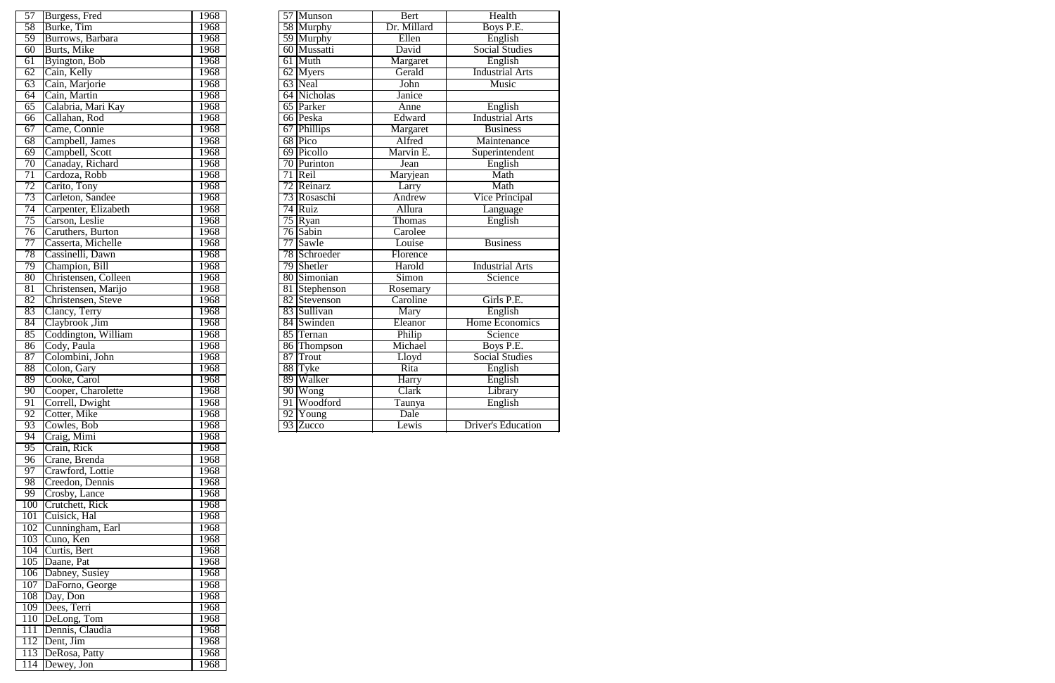|                | 1968                                                                                                                                                                                                                                                                                                                                                                                                                                                                                                                                                                                                                                                                       |                                                                                                                                                      |    | <b>Bert</b>                                                                                                                                                                                                                                                                                                                                                                                                                                                                                         | Health                                                                                                                                                                                        |
|----------------|----------------------------------------------------------------------------------------------------------------------------------------------------------------------------------------------------------------------------------------------------------------------------------------------------------------------------------------------------------------------------------------------------------------------------------------------------------------------------------------------------------------------------------------------------------------------------------------------------------------------------------------------------------------------------|------------------------------------------------------------------------------------------------------------------------------------------------------|----|-----------------------------------------------------------------------------------------------------------------------------------------------------------------------------------------------------------------------------------------------------------------------------------------------------------------------------------------------------------------------------------------------------------------------------------------------------------------------------------------------------|-----------------------------------------------------------------------------------------------------------------------------------------------------------------------------------------------|
|                | 1968                                                                                                                                                                                                                                                                                                                                                                                                                                                                                                                                                                                                                                                                       |                                                                                                                                                      |    | Dr. Millard                                                                                                                                                                                                                                                                                                                                                                                                                                                                                         | Boys P.E.                                                                                                                                                                                     |
|                | 1968                                                                                                                                                                                                                                                                                                                                                                                                                                                                                                                                                                                                                                                                       |                                                                                                                                                      |    | Ellen                                                                                                                                                                                                                                                                                                                                                                                                                                                                                               | English                                                                                                                                                                                       |
|                | 1968                                                                                                                                                                                                                                                                                                                                                                                                                                                                                                                                                                                                                                                                       |                                                                                                                                                      |    | David                                                                                                                                                                                                                                                                                                                                                                                                                                                                                               | <b>Social Studies</b>                                                                                                                                                                         |
|                | 1968                                                                                                                                                                                                                                                                                                                                                                                                                                                                                                                                                                                                                                                                       |                                                                                                                                                      |    | Margaret                                                                                                                                                                                                                                                                                                                                                                                                                                                                                            | English                                                                                                                                                                                       |
|                | 1968                                                                                                                                                                                                                                                                                                                                                                                                                                                                                                                                                                                                                                                                       |                                                                                                                                                      |    | Gerald                                                                                                                                                                                                                                                                                                                                                                                                                                                                                              | <b>Industrial Arts</b>                                                                                                                                                                        |
| Cain, Marjorie | 1968                                                                                                                                                                                                                                                                                                                                                                                                                                                                                                                                                                                                                                                                       |                                                                                                                                                      |    | John                                                                                                                                                                                                                                                                                                                                                                                                                                                                                                | Music                                                                                                                                                                                         |
|                | 1968                                                                                                                                                                                                                                                                                                                                                                                                                                                                                                                                                                                                                                                                       |                                                                                                                                                      |    | Janice                                                                                                                                                                                                                                                                                                                                                                                                                                                                                              |                                                                                                                                                                                               |
|                | 1968                                                                                                                                                                                                                                                                                                                                                                                                                                                                                                                                                                                                                                                                       |                                                                                                                                                      |    | Anne                                                                                                                                                                                                                                                                                                                                                                                                                                                                                                | English                                                                                                                                                                                       |
|                | 1968                                                                                                                                                                                                                                                                                                                                                                                                                                                                                                                                                                                                                                                                       |                                                                                                                                                      |    | Edward                                                                                                                                                                                                                                                                                                                                                                                                                                                                                              | <b>Industrial Arts</b>                                                                                                                                                                        |
| Came, Connie   | 1968                                                                                                                                                                                                                                                                                                                                                                                                                                                                                                                                                                                                                                                                       |                                                                                                                                                      |    | Margaret                                                                                                                                                                                                                                                                                                                                                                                                                                                                                            | <b>Business</b>                                                                                                                                                                               |
|                |                                                                                                                                                                                                                                                                                                                                                                                                                                                                                                                                                                                                                                                                            |                                                                                                                                                      |    |                                                                                                                                                                                                                                                                                                                                                                                                                                                                                                     | Maintenance                                                                                                                                                                                   |
|                |                                                                                                                                                                                                                                                                                                                                                                                                                                                                                                                                                                                                                                                                            |                                                                                                                                                      |    |                                                                                                                                                                                                                                                                                                                                                                                                                                                                                                     | Superintendent                                                                                                                                                                                |
|                | 1968                                                                                                                                                                                                                                                                                                                                                                                                                                                                                                                                                                                                                                                                       |                                                                                                                                                      |    | Jean                                                                                                                                                                                                                                                                                                                                                                                                                                                                                                | English                                                                                                                                                                                       |
|                | 1968                                                                                                                                                                                                                                                                                                                                                                                                                                                                                                                                                                                                                                                                       |                                                                                                                                                      |    | Maryjean                                                                                                                                                                                                                                                                                                                                                                                                                                                                                            | Math                                                                                                                                                                                          |
|                |                                                                                                                                                                                                                                                                                                                                                                                                                                                                                                                                                                                                                                                                            |                                                                                                                                                      |    | Larry                                                                                                                                                                                                                                                                                                                                                                                                                                                                                               | Math                                                                                                                                                                                          |
|                |                                                                                                                                                                                                                                                                                                                                                                                                                                                                                                                                                                                                                                                                            |                                                                                                                                                      |    | Andrew                                                                                                                                                                                                                                                                                                                                                                                                                                                                                              | <b>Vice Principal</b>                                                                                                                                                                         |
|                |                                                                                                                                                                                                                                                                                                                                                                                                                                                                                                                                                                                                                                                                            |                                                                                                                                                      |    |                                                                                                                                                                                                                                                                                                                                                                                                                                                                                                     | Language                                                                                                                                                                                      |
|                |                                                                                                                                                                                                                                                                                                                                                                                                                                                                                                                                                                                                                                                                            |                                                                                                                                                      |    |                                                                                                                                                                                                                                                                                                                                                                                                                                                                                                     | English                                                                                                                                                                                       |
|                | 1968                                                                                                                                                                                                                                                                                                                                                                                                                                                                                                                                                                                                                                                                       |                                                                                                                                                      |    | Carolee                                                                                                                                                                                                                                                                                                                                                                                                                                                                                             |                                                                                                                                                                                               |
|                |                                                                                                                                                                                                                                                                                                                                                                                                                                                                                                                                                                                                                                                                            |                                                                                                                                                      |    |                                                                                                                                                                                                                                                                                                                                                                                                                                                                                                     | <b>Business</b>                                                                                                                                                                               |
|                |                                                                                                                                                                                                                                                                                                                                                                                                                                                                                                                                                                                                                                                                            |                                                                                                                                                      |    |                                                                                                                                                                                                                                                                                                                                                                                                                                                                                                     |                                                                                                                                                                                               |
|                |                                                                                                                                                                                                                                                                                                                                                                                                                                                                                                                                                                                                                                                                            |                                                                                                                                                      |    |                                                                                                                                                                                                                                                                                                                                                                                                                                                                                                     | <b>Industrial Arts</b>                                                                                                                                                                        |
|                |                                                                                                                                                                                                                                                                                                                                                                                                                                                                                                                                                                                                                                                                            |                                                                                                                                                      |    |                                                                                                                                                                                                                                                                                                                                                                                                                                                                                                     | Science                                                                                                                                                                                       |
|                |                                                                                                                                                                                                                                                                                                                                                                                                                                                                                                                                                                                                                                                                            |                                                                                                                                                      |    |                                                                                                                                                                                                                                                                                                                                                                                                                                                                                                     |                                                                                                                                                                                               |
|                |                                                                                                                                                                                                                                                                                                                                                                                                                                                                                                                                                                                                                                                                            |                                                                                                                                                      |    |                                                                                                                                                                                                                                                                                                                                                                                                                                                                                                     | Girls P.E.                                                                                                                                                                                    |
|                |                                                                                                                                                                                                                                                                                                                                                                                                                                                                                                                                                                                                                                                                            |                                                                                                                                                      |    |                                                                                                                                                                                                                                                                                                                                                                                                                                                                                                     | English                                                                                                                                                                                       |
|                |                                                                                                                                                                                                                                                                                                                                                                                                                                                                                                                                                                                                                                                                            |                                                                                                                                                      |    |                                                                                                                                                                                                                                                                                                                                                                                                                                                                                                     | <b>Home Economics</b>                                                                                                                                                                         |
|                |                                                                                                                                                                                                                                                                                                                                                                                                                                                                                                                                                                                                                                                                            |                                                                                                                                                      |    |                                                                                                                                                                                                                                                                                                                                                                                                                                                                                                     | Science                                                                                                                                                                                       |
|                |                                                                                                                                                                                                                                                                                                                                                                                                                                                                                                                                                                                                                                                                            |                                                                                                                                                      |    |                                                                                                                                                                                                                                                                                                                                                                                                                                                                                                     | Boys P.E.                                                                                                                                                                                     |
|                |                                                                                                                                                                                                                                                                                                                                                                                                                                                                                                                                                                                                                                                                            |                                                                                                                                                      |    |                                                                                                                                                                                                                                                                                                                                                                                                                                                                                                     | <b>Social Studies</b>                                                                                                                                                                         |
|                |                                                                                                                                                                                                                                                                                                                                                                                                                                                                                                                                                                                                                                                                            |                                                                                                                                                      |    |                                                                                                                                                                                                                                                                                                                                                                                                                                                                                                     | English                                                                                                                                                                                       |
|                |                                                                                                                                                                                                                                                                                                                                                                                                                                                                                                                                                                                                                                                                            |                                                                                                                                                      |    |                                                                                                                                                                                                                                                                                                                                                                                                                                                                                                     | English                                                                                                                                                                                       |
|                | 1968                                                                                                                                                                                                                                                                                                                                                                                                                                                                                                                                                                                                                                                                       |                                                                                                                                                      |    |                                                                                                                                                                                                                                                                                                                                                                                                                                                                                                     | Library                                                                                                                                                                                       |
|                | 1968                                                                                                                                                                                                                                                                                                                                                                                                                                                                                                                                                                                                                                                                       |                                                                                                                                                      |    |                                                                                                                                                                                                                                                                                                                                                                                                                                                                                                     | English                                                                                                                                                                                       |
|                | 1968                                                                                                                                                                                                                                                                                                                                                                                                                                                                                                                                                                                                                                                                       |                                                                                                                                                      |    | Dale                                                                                                                                                                                                                                                                                                                                                                                                                                                                                                |                                                                                                                                                                                               |
|                | 1968                                                                                                                                                                                                                                                                                                                                                                                                                                                                                                                                                                                                                                                                       |                                                                                                                                                      |    | Lewis                                                                                                                                                                                                                                                                                                                                                                                                                                                                                               | <b>Driver's Education</b>                                                                                                                                                                     |
|                | Burgess, Fred<br>Burke, Tim<br>Burrows, Barbara<br>Burts, Mike<br>Byington, Bob<br>Cain, Kelly<br>Cain, Martin<br>Calabria, Mari Kay<br>Callahan, Rod<br>Campbell, James<br>Campbell, Scott<br>Canaday, Richard<br>Cardoza, Robb<br>Carito, Tony<br>Carleton, Sandee<br>Carpenter, Elizabeth<br>Carson, Leslie<br>76 Caruthers, Burton<br>Casserta, Michelle<br>Cassinelli, Dawn<br>Champion, Bill<br>Christensen, Colleen<br>Christensen, Marijo<br>Christensen, Steve<br>Clancy, Terry<br>Claybrook ,Jim<br>Coddington, William<br>Cody, Paula<br>Colombini, John<br>Colon, Gary<br>Cooke, Carol<br>Cooper, Charolette<br>Correll, Dwight<br>Cotter, Mike<br>Cowles, Bob | 1968<br>1968<br>1968<br>1968<br>1968<br>1968<br>1968<br>1968<br>1968<br>1968<br>1968<br>1968<br>1968<br>1968<br>1968<br>1968<br>1968<br>1968<br>1968 | 71 | 57 Munson<br>58 Murphy<br>59 Murphy<br>60 Mussatti<br>61 Muth<br>62 Myers<br>63 Neal<br>64 Nicholas<br>65 Parker<br>66 Peska<br>67 Phillips<br>68 Pico<br>69 Picollo<br>70 Purinton<br>Reil<br>72 Reinarz<br>73 Rosaschi<br>74 Ruiz<br>75 Ryan<br>76 Sabin<br>77 Sawle<br>78 Schroeder<br>79 Shetler<br>80 Simonian<br>81 Stephenson<br>82 Stevenson<br>83 Sullivan<br>84 Swinden<br>85 Ternan<br>86 Thompson<br>87 Trout<br>88 Tyke<br>89 Walker<br>90 Wong<br>91 Woodford<br>92 Young<br>93 Zucco | Alfred<br>Marvin E.<br>Allura<br>Thomas<br>Louise<br>Florence<br>Harold<br>Simon<br>Rosemary<br>Caroline<br>Mary<br>Eleanor<br>Philip<br>Michael<br>Lloyd<br>Rita<br>Harry<br>Clark<br>Taunya |

| $\overline{57}$ | Burgess, Fred        | 1968 |    | 57 Munson             | Bert        |
|-----------------|----------------------|------|----|-----------------------|-------------|
| 58              | Burke, Tim           | 1968 |    | 58 Murphy             | Dr. Millard |
| 59              | Burrows, Barbara     | 1968 |    | 59 Murphy             | Ellen       |
| 60              | Burts, Mike          | 1968 |    | 60 Mussatti           | David       |
| 61              | Byington, Bob        | 1968 |    | 61 Muth               | Margaret    |
| 62              | Cain, Kelly          | 1968 |    | $62$ Myers            | Gerald      |
| 63              | Cain, Marjorie       | 1968 |    | 63 Neal               | John        |
| 64              | Cain, Martin         | 1968 |    | 64 Nicholas           | Janice      |
| 65              | Calabria, Mari Kay   | 1968 |    | 65 Parker             | Anne        |
| 66              | Callahan, Rod        | 1968 |    | 66 Peska              | Edward      |
| 67              | Came, Connie         | 1968 |    | 67 Phillips           | Margaret    |
| 68              | Campbell, James      | 1968 |    | 68 Pico               | Alfred      |
| 69              | Campbell, Scott      | 1968 |    | 69 Picollo            | Marvin E.   |
| 70              | Canaday, Richard     | 1968 |    | 70 Purinton           | Jean        |
| 71              | Cardoza, Robb        | 1968 |    | $71$ Reil             | Maryjean    |
| 72              | Carito, Tony         | 1968 |    | 72 Reinarz            | Larry       |
| 73              | Carleton, Sandee     | 1968 |    | 73 Rosaschi           | Andrew      |
| 74              | Carpenter, Elizabeth | 1968 |    | 74 Ruiz               | Allura      |
| 75              | Carson, Leslie       | 1968 |    | $75$ Ryan             | Thomas      |
| 76              | Caruthers, Burton    | 1968 |    | 76 Sabin              | Carolee     |
| 77              | Casserta, Michelle   | 1968 | 77 | Sawle                 | Louise      |
| 78              | Cassinelli, Dawn     | 1968 |    | 78 Schroeder          | Florence    |
| 79              | Champion, Bill       | 1968 |    | 79 Shetler            | Harold      |
| 80              | Christensen, Colleen | 1968 |    | 80 Simonian           | Simon       |
| 81              | Christensen, Marijo  | 1968 |    | 81 Stephenson         | Rosemary    |
| 82              | Christensen, Steve   | 1968 |    | 82 Stevenson          | Caroline    |
| 83              | Clancy, Terry        | 1968 |    | 83 Sullivan           | Mary        |
| 84              | Claybrook ,Jim       | 1968 |    | 84 Swinden            | Eleanor     |
| $\overline{85}$ | Coddington, William  | 1968 |    | 85 Ternan             | Philip      |
| 86              | Cody, Paula          | 1968 |    | 86 Thompson           | Michael     |
| 87              | Colombini, John      | 1968 | 87 | Trout                 | Lloyd       |
| 88              | Colon, Gary          | 1968 |    | 88 Tyke               | Rita        |
| 89              | Cooke, Carol         | 1968 |    | 89 Walker             | Harry       |
| 90              | Cooper, Charolette   | 1968 |    | 90 Wong               | Clark       |
| 91              | Correll, Dwight      | 1968 | 91 | <b>Woodford</b>       | Taunya      |
| 92              | Cotter, Mike         | 1968 |    | $\overline{92}$ Young | Dale        |
| 93              | Cowles, Bob          | 1968 |    | $\overline{93}$ Zucco | Lewis       |
| 94              | Craig, Mimi          | 1968 |    |                       |             |
| 95              | Crain, Rick          | 1968 |    |                       |             |
| $\overline{96}$ | Crane, Brenda        | 1968 |    |                       |             |
| 97              | Crawford, Lottie     | 1968 |    |                       |             |
| 98              | Creedon, Dennis      | 1968 |    |                       |             |
| 99              | Crosby, Lance        | 1968 |    |                       |             |
| 100             | Crutchett, Rick      | 1968 |    |                       |             |
| 101             | Cuisick, Hal         | 1968 |    |                       |             |
| 102             | Cunningham, Earl     | 1968 |    |                       |             |
| 103             | Cuno, Ken            | 1968 |    |                       |             |
| 104             | Curtis, Bert         | 1968 |    |                       |             |
|                 | 105 Daane, Pat       | 1968 |    |                       |             |
|                 | 106 Dabney, Susiey   | 1968 |    |                       |             |
| 107             | DaForno, George      | 1968 |    |                       |             |
|                 | 108 Day, Don         | 1968 |    |                       |             |
|                 | 109 Dees, Terri      | 1968 |    |                       |             |
|                 | 110  DeLong, Tom     | 1968 |    |                       |             |
| 111             | Dennis, Claudia      | 1968 |    |                       |             |
| 112             | Dent, Jim            | 1968 |    |                       |             |
|                 | 113 DeRosa, Patty    | 1968 |    |                       |             |
|                 |                      |      |    |                       |             |
| 114             | Dewey, Jon           | 1968 |    |                       |             |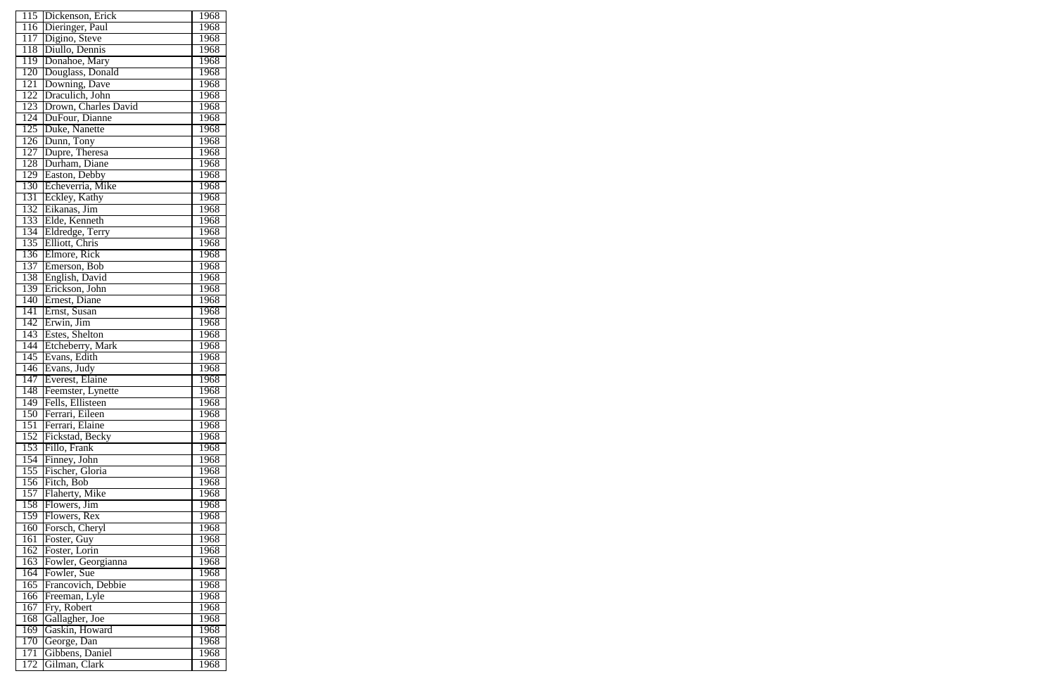| 115              | Dickenson, Erick     | 1968 |
|------------------|----------------------|------|
| 116              | Dieringer, Paul      | 1968 |
| 117              | Digino, Steve        | 1968 |
| 118              | Diullo, Dennis       | 1968 |
| 119              | Donahoe, Mary        | 1968 |
| 120              | Douglass, Donald     | 1968 |
| $1\overline{21}$ | Downing, Dave        | 1968 |
| 122              | Draculich, John      | 1968 |
| 123              | Drown, Charles David | 1968 |
| 124              | DuFour, Dianne       | 1968 |
| 125              | Duke, Nanette        | 1968 |
| $1\overline{26}$ | Dunn, Tony           | 1968 |
| 127              | Dupre, Theresa       | 1968 |
|                  |                      |      |
| 128              | Durham, Diane        | 1968 |
| 129              | Easton, Debby        | 1968 |
| 130              | Echeverria, Mike     | 1968 |
| $1\overline{31}$ | Eckley, Kathy        | 1968 |
| 132              | Eikanas, Jim         | 1968 |
| 133              | Elde, Kenneth        | 1968 |
| 134              | Eldredge, Terry      | 1968 |
| 135              | Elliott, Chris       | 1968 |
| 136              | Elmore, Rick         | 1968 |
| 137              | Emerson, Bob         | 1968 |
| 138              | English, David       | 1968 |
| 139              | Erickson, John       | 1968 |
| 140              | Ernest, Diane        | 1968 |
| $1\overline{41}$ | Ernst, Susan         | 1968 |
| 142              | Erwin, Jim           | 1968 |
| 143              | Estes, Shelton       | 1968 |
| 144              | Etcheberry, Mark     | 1968 |
| 145              | Evans, Edith         | 1968 |
| 146              | Evans, Judy          | 1968 |
| $1\overline{47}$ | Everest, Elaine      | 1968 |
| 148              | Feemster, Lynette    | 1968 |
| 149              | Fells, Ellisteen     | 1968 |
| 150              | Ferrari, Eileen      | 1968 |
| $15\overline{1}$ | Ferrari, Elaine      | 1968 |
| 152              | Fickstad, Becky      | 1968 |
| 153              | Fillo, Frank         | 1968 |
| 154              | Finney, John         | 1968 |
| 155              | Fischer, Gloria      | 1968 |
| 156              | Fitch, Bob           | 1968 |
| 157              | Flaherty, Mike       | 1968 |
| 158              | Flowers, Jim         | 1968 |
| 159              | Flowers, Rex         | 1968 |
| 160              | Forsch, Cheryl       | 1968 |
| 161              | Foster, Guy          | 1968 |
| 162              | Foster, Lorin        | 1968 |
| 163              | Fowler, Georgianna   | 1968 |
| 164              | Fowler, Sue          | 1968 |
| $16\overline{5}$ | Francovich, Debbie   | 1968 |
| 166              | Freeman, Lyle        | 1968 |
| 167              | Fry, Robert          | 1968 |
| 168              | Gallagher, Joe       | 1968 |
| 169              | Gaskin, Howard       | 1968 |
| $1\overline{70}$ | George, Dan          | 1968 |
| 171              | Gibbens, Daniel      | 1968 |
| 172              | Gilman, Clark        | 1968 |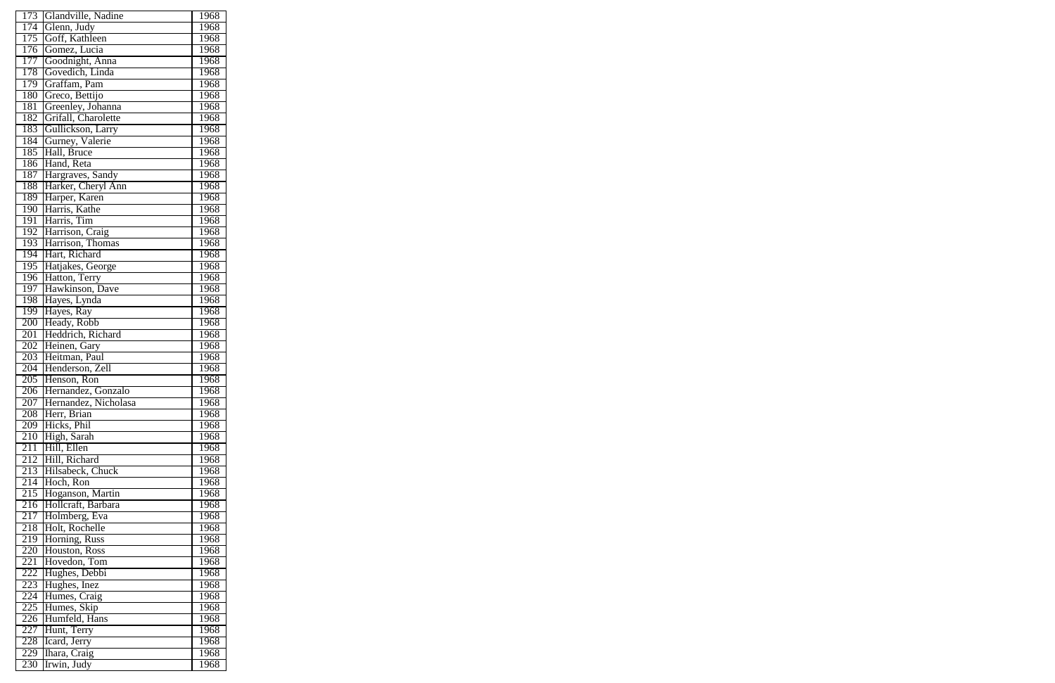| 173              | Glandville, Nadine                   | 1968        |
|------------------|--------------------------------------|-------------|
| 174              | Glenn, Judy                          | 1968        |
| 175              | Goff, Kathleen                       | 1968        |
| 176              | Gomez, Lucia                         | 1968        |
| 177              | Goodnight, Anna                      | 1968        |
| 178              | Govedich, Linda                      | 1968        |
| 179              | Graffam, Pam                         | 1968        |
| 180              | Greco, Bettijo                       | 1968        |
| 181              | Greenley, Johanna                    | 1968        |
| 182              | Grifall, Charolette                  | 1968        |
| 183              |                                      | 1968        |
| 184              | Gullickson, Larry<br>Gurney, Valerie | 1968        |
|                  |                                      |             |
| 185              | Hall, Bruce                          | 1968        |
| 186              | Hand, Reta                           | 1968        |
| 187              | Hargraves, Sandy                     | 1968        |
| 188              | Harker, Cheryl Ann                   | 1968        |
| 189              | Harper, Karen                        | 1968        |
| 190              | Harris, Kathe                        | 1968        |
| 191              | Harris, Tim                          | 1968        |
| 192              | Harrison, Craig                      | 1968        |
| 193              | Harrison, Thomas                     | 1968        |
| 194              | Hart, Richard                        | 1968        |
| 195              | Hatjakes, George                     | 1968        |
| 196              | Hatton, Terry                        | 1968        |
| 197              | Hawkinson, Dave                      | 1968        |
| 198              | Hayes, Lynda                         | 1968        |
| 199              | Hayes, Ray                           | 1968        |
| 200              | Heady, Robb                          | 1968        |
| 201              | Heddrich, Richard                    | 1968        |
| 202              | Heinen, Gary                         | 1968        |
| 203              | Heitman, Paul                        | 1968        |
| 204              | Henderson, Zell                      | 1968        |
| 205              | Henson, Ron                          | 1968        |
| 206              | Hernandez, Gonzalo                   | 1968        |
| $\overline{207}$ | Hernandez, Nicholasa                 | <b>1968</b> |
| 208              | Herr, Brian                          | 1968        |
| 209              | Hicks, Phil                          | 1968        |
| 210              | High, Sarah                          | 1968        |
| 211              | Hill, Ellen                          | 1968        |
| 212              | Hill, Richard                        | 1968        |
| 213              | Hilsabeck, Chuck                     | 1968        |
| 214              | Hoch, Ron                            | 1968        |
| 215              | Hoganson, Martin                     | 1968        |
| 216              | Hollcraft, Barbara                   | 1968        |
| 217              | Holmberg, Eva                        | 1968        |
| 218              | Holt, Rochelle                       | 1968        |
| 219              | Horning, Russ                        | 1968        |
| 220              | Houston, Ross                        | 1968        |
| 221              | Hovedon, Tom                         | 1968        |
| 222              | Hughes, Debbi                        | 1968        |
| 223              | Hughes, Inez<br>Humes, Craig         | 1968        |
| 224              |                                      | 1968        |
| 225              | Humes, Skip                          | 1968        |
| 226              | Humfeld, Hans                        | 1968        |
| 227              | Hunt, Terry                          | 1968        |
| 228              | Icard, Jerry                         | 1968        |
| 229              | Ihara, Craig                         | 1968        |
| 230              | Irwin, Judy                          | 1968        |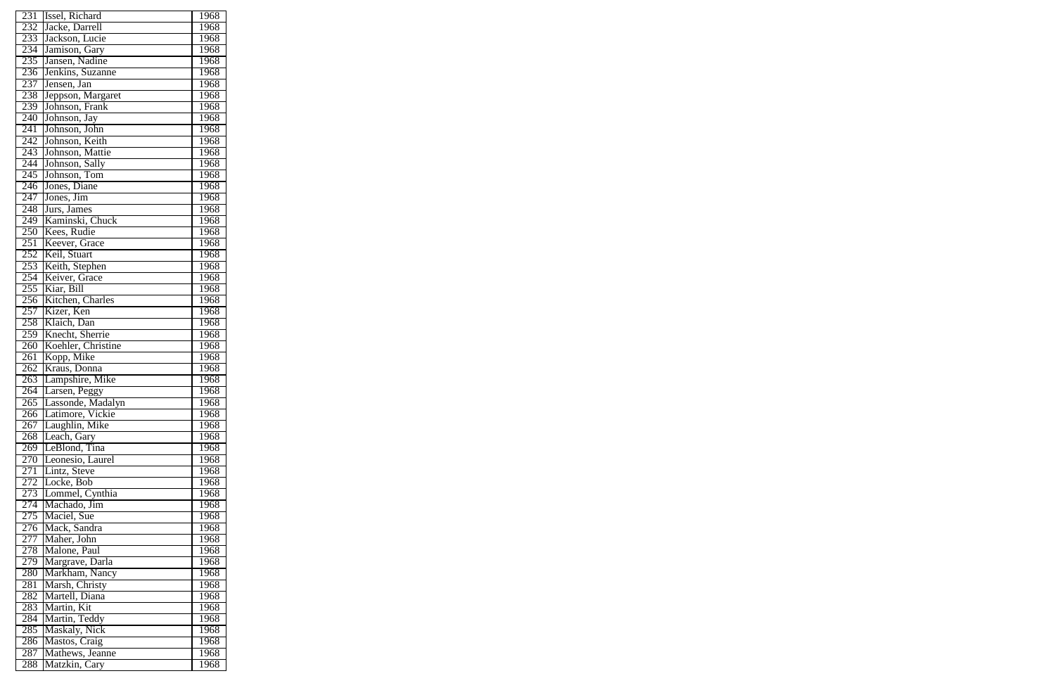| 231 | Issel, Richard     | 1968        |
|-----|--------------------|-------------|
| 232 | Jacke, Darrell     | 1968        |
| 233 | Jackson, Lucie     | 1968        |
| 234 | Jamison, Gary      | 1968        |
| 235 | Jansen, Nadine     | 1968        |
| 236 | Jenkins, Suzanne   | 1968        |
| 237 | Jensen, Jan        | 1968        |
| 238 | Jeppson, Margaret  | 1968        |
| 239 | Johnson, Frank     | 1968        |
| 240 | Johnson, Jay       | 1968        |
| 241 |                    |             |
|     | Johnson, John      | 1968        |
| 242 | Johnson, Keith     | 1968        |
| 243 | Johnson, Mattie    | 1968        |
| 244 | Johnson, Sally     | 1968        |
| 245 | Johnson, Tom       | 1968        |
| 246 | Jones, Diane       | 1968        |
| 247 | Jones, Jim         | 1968        |
| 248 | Jurs, James        | <b>1968</b> |
| 249 | Kaminski, Chuck    | 1968        |
| 250 | Kees, Rudie        | 1968        |
| 251 | Keever, Grace      | 1968        |
| 252 | Keil, Stuart       | 1968        |
| 253 | Keith, Stephen     | 1968        |
| 254 | Keiver, Grace      | 1968        |
| 255 | Kiar, Bill         | 1968        |
| 256 | Kitchen, Charles   | 1968        |
| 257 | Kizer, Ken         | 1968        |
| 258 | Klaich, Dan        | 1968        |
| 259 | Knecht, Sherrie    | 1968        |
| 260 | Koehler, Christine | 1968        |
| 261 | Kopp, Mike         | 1968        |
| 262 | Kraus, Donna       | 1968        |
| 263 | Lampshire, Mike    | <b>1968</b> |
| 264 | Larsen, Peggy      | 1968        |
| 265 | Lassonde, Madalyn  | 1968        |
| 266 | Latimore, Vickie   | 1968        |
| 267 | Laughlin, Mike     | 1968        |
| 268 | Leach, Gary        | 1968        |
| 269 | LeBlond, Tina      | 1968        |
| 270 | Leonesio, Laurel   | 1968        |
| 271 | Lintz, Steve       | 1968        |
| 272 | Locke, Bob         | 1968        |
| 273 | Lommel, Cynthia    | 1968        |
| 274 | Machado, Jim       | 1968        |
| 275 | Maciel, Sue        | 1968        |
| 276 | Mack, Sandra       | 1968        |
| 277 | Maher, John        | 1968        |
| 278 | Malone, Paul       | 1968        |
| 279 | Margrave, Darla    | 1968        |
| 280 | Markham, Nancy     | 1968        |
| 281 | Marsh, Christy     | 1968        |
| 282 | Martell, Diana     | 1968        |
| 283 | Martin, Kit        | 1968        |
| 284 | Martin, Teddy      | 1968        |
| 285 | Maskaly, Nick      | 1968        |
| 286 | Mastos, Craig      | 1968        |
| 287 | Mathews, Jeanne    | 1968        |
| 288 | Matzkin, Cary      | 1968        |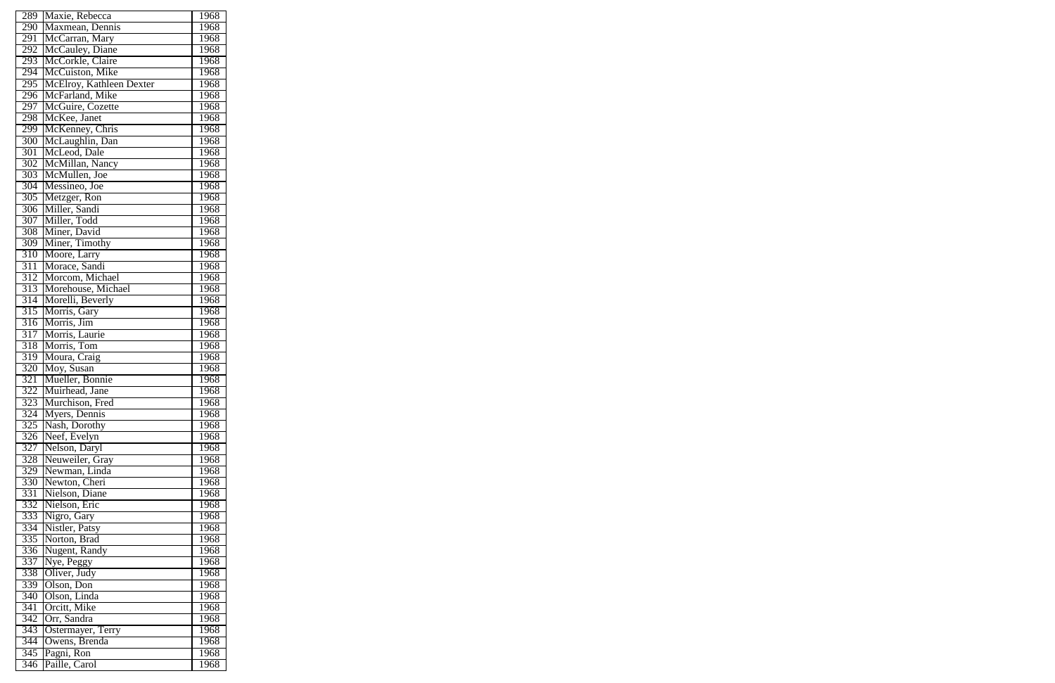| 289              | Maxie, Rebecca           | 1968        |
|------------------|--------------------------|-------------|
| 290              | Maxmean, Dennis          | 1968        |
| 291              | McCarran, Mary           | 1968        |
| 292              | McCauley, Diane          | 1968        |
| 293              | McCorkle, Claire         | 1968        |
| 294              | McCuiston, Mike          | 1968        |
| 295              | McElroy, Kathleen Dexter | 1968        |
| 296              | McFarland, Mike          | 1968        |
| 297              | McGuire, Cozette         | 1968        |
| 298              | McKee, Janet             | 1968        |
| 299              | McKenney, Chris          | 1968        |
| 300              | McLaughlin, Dan          | 1968        |
| 301              | McLeod, Dale             | 1968        |
| $\overline{302}$ | McMillan, Nancy          | 1968        |
| 303              | McMullen, Joe            | 1968        |
| 304              | Messineo, Joe            | 1968        |
| 305              | Metzger, Ron             | 1968        |
| 306              | Miller, Sandi            | 1968        |
| 307              | Miller, Todd             | 1968        |
|                  |                          |             |
| 308              | Miner, David             | 1968        |
| 309              | Miner, Timothy           | 1968        |
| 310              | Moore, Larry             | 1968        |
| $\overline{311}$ | Morace, Sandi            | 1968        |
| 312              | Morcom, Michael          | 1968        |
| 313              | Morehouse, Michael       | 1968        |
| $\overline{314}$ | Morelli, Beverly         | 1968        |
| $\overline{315}$ | Morris, Gary             | 1968        |
| 316              | Morris, Jim              | 1968        |
| 317              | Morris, Laurie           | 1968        |
| 318              | Morris, Tom              | 1968        |
| 319              | Moura, Craig             | 1968        |
| 320              | Moy, Susan               | 1968        |
| $\overline{321}$ | Mueller, Bonnie          | 1968        |
| 322              | Muirhead, Jane           | 1968        |
| 323              | Murchison, Fred          | <b>1968</b> |
| 324              | Myers, Dennis            | 1968        |
| $3\overline{25}$ | Nash, Dorothy            | 1968        |
| 326              | Neef, Evelyn             | 1968        |
| $\overline{327}$ | Nelson, Daryl            | 1968        |
| 328              | Neuweiler, Gray          | 1968        |
| 329              | Newman, Linda            | 1968        |
| 330              | Newton, Cheri            | 1968        |
| 331              | Nielson, Diane           | 1968        |
| 332              | Nielson, Eric            | 1968        |
| 333              | Nigro, Gary              | 1968        |
| 334              | Nistler, Patsy           | 1968        |
| 335              | Norton, Brad             | 1968        |
| 336              | Nugent, Randy            | 1968        |
| 337              | Nye, Peggy               | 1968        |
| 338              | Oliver, Judy             | 1968        |
| 339              | Olson, Don               | 1968        |
| 340              | Olson, Linda             | 1968        |
| 341              | Orcitt, Mike             | 1968        |
| $\overline{342}$ | Orr, Sandra              | 1968        |
| 343              | Ostermayer, Terry        | 1968        |
| 344              | Owens, Brenda            | 1968        |
| $\overline{345}$ | Pagni, Ron               | 1968        |
| 346              | Paille, Carol            | 1968        |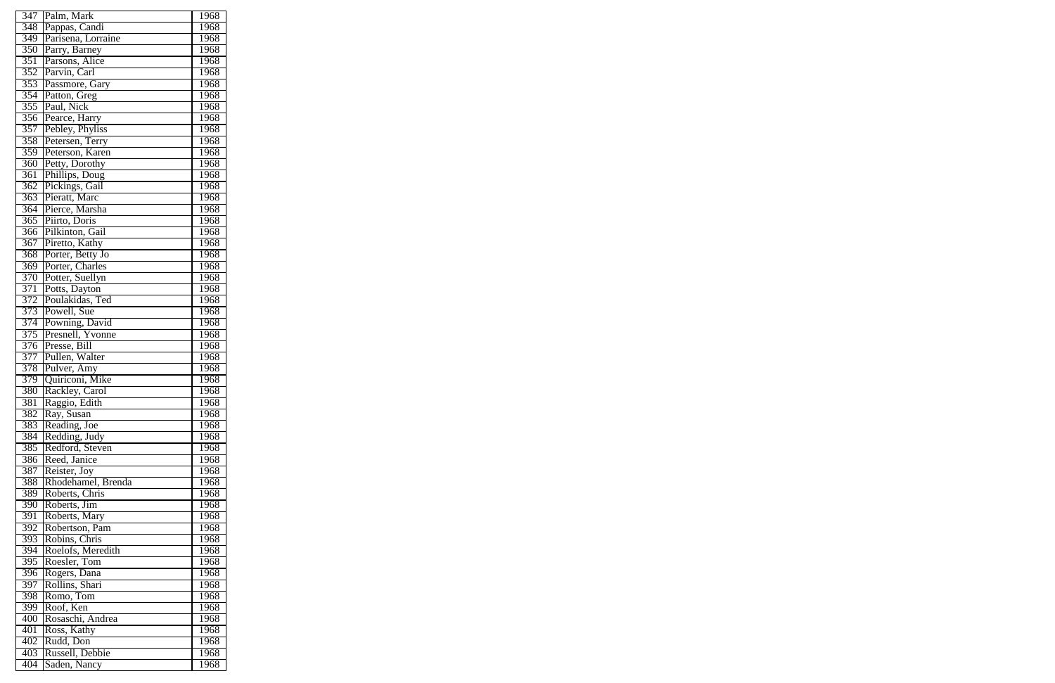| 347              | Palm, Mark         | 1968        |
|------------------|--------------------|-------------|
| 348              | Pappas, Candi      | 1968        |
| 349              | Parisena, Lorraine | 1968        |
| 350              | Parry, Barney      | 1968        |
| 351              | Parsons, Alice     | 1968        |
| 352              | Parvin, Carl       | 1968        |
| $\overline{353}$ | Passmore, Gary     | 1968        |
| 354              | Patton, Greg       | 1968        |
| 355              | Paul, Nick         | 1968        |
| 356              | Pearce, Harry      | 1968        |
|                  |                    | 1968        |
| 357              | Pebley, Phyliss    |             |
| 358              | Petersen, Terry    | 1968        |
| 359              | Peterson, Karen    | 1968        |
| 360              | Petty, Dorothy     | 1968        |
| $\overline{361}$ | Phillips, Doug     | 1968        |
| 362              | Pickings, Gail     | 1968        |
| 363              | Pieratt, Marc      | 1968        |
| 364              | Pierce, Marsha     | 1968        |
| 365              | Piirto, Doris      | 1968        |
| 366              | Pilkinton, Gail    | 1968        |
| 367              | Piretto, Kathy     | 1968        |
| 368              | Porter, Betty Jo   | 1968        |
| $\overline{369}$ | Porter, Charles    | 1968        |
| 370              | Potter, Suellyn    | 1968        |
| 371              | Potts, Dayton      | 1968        |
| 372              | Poulakidas, Ted    | 1968        |
| 373              | Powell, Sue        | 1968        |
| 374              | Powning, David     | 1968        |
| 375              | Presnell, Yvonne   | 1968        |
| 376              | Presse, Bill       | 1968        |
| 377              | Pullen, Walter     | 1968        |
| 378              | Pulver, Amy        | 1968        |
| 379              | Quiriconi, Mike    | 1968        |
| 380              | Rackley, Carol     | 1968        |
| 381              | Raggio, Edith      | 1968        |
| 382              | Ray, Susan         | 1968        |
| 383              | Reading, Joe       | 1968        |
| 384              | Redding, Judy      | 1968        |
| 385              | Redford, Steven    | 1968        |
| 386              | Reed, Janice       | 1968        |
| 387              | Reister, Joy       | 1968        |
| 388              | Rhodehamel, Brenda | 1968        |
| 389              | Roberts, Chris     | 1968        |
| 390              | Roberts, Jim       | 1968        |
| 391              | Roberts, Mary      | 1968        |
| 392              | Robertson, Pam     | 1968        |
| 393              | Robins, Chris      | 1968        |
| 394              | Roelofs, Meredith  | 1968        |
| 395              | Roesler, Tom       | <b>1968</b> |
| $\overline{396}$ | Rogers, Dana       | 1968        |
| 397              | Rollins, Shari     | 1968        |
| 398              | Romo, Tom          | 1968        |
| 399              | Roof, Ken          | 1968        |
| 400              | Rosaschi, Andrea   | 1968        |
| 401              | Ross, Kathy        | 1968        |
| 402              | Rudd, Don          | 1968        |
| 403              | Russell, Debbie    | 1968        |
| 404              | Saden, Nancy       | 1968        |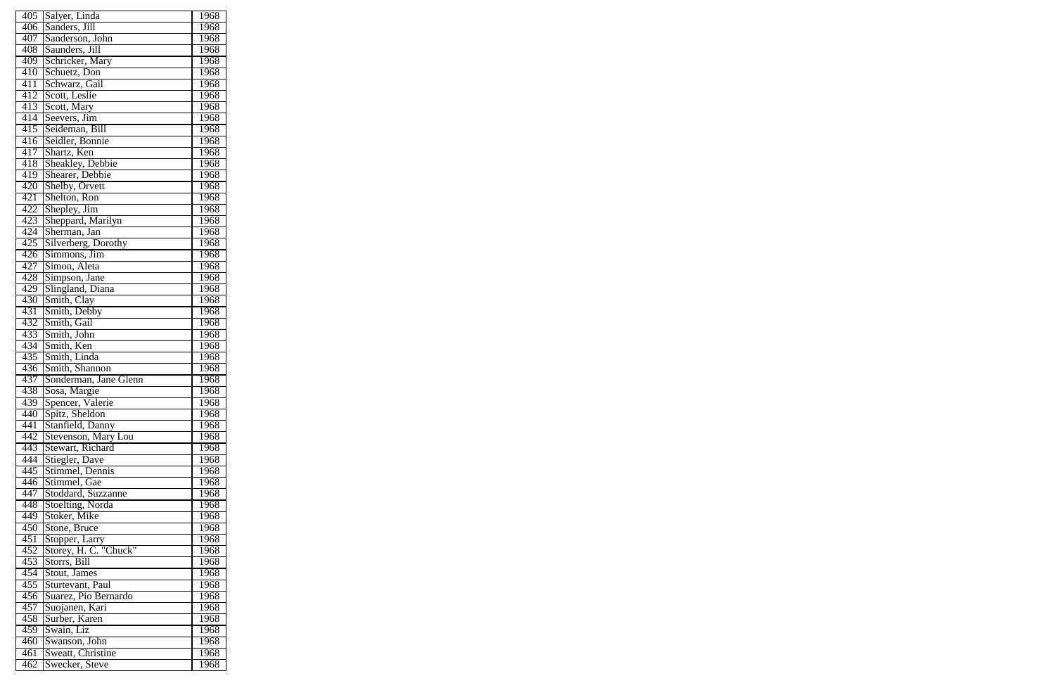| 405              | Salyer, Linda                  | 1968              |
|------------------|--------------------------------|-------------------|
| 406              | Sanders, Jill                  | 1968              |
| 407              | Sanderson, John                | $196\overline{8}$ |
| 408              | Saunders, Jill                 | 1968              |
| 409              | Schricker, Mary                | 1968              |
| 410              | Schuetz, Don                   | 1968              |
| 411              | Schwarz, Gail                  | 1968              |
| 412              | Scott, Leslie                  | 1968              |
| 413              | Scott, Mary                    | 1968              |
| 414              | Seevers, Jim                   | 1968              |
| 415              | Seideman, Bill                 | 1968              |
| 416              | Seidler, Bonnie                | 1968              |
| 417              | Shartz, Ken                    | $196\overline{8}$ |
| 418              | Sheakley, Debbie               | 1968              |
| 419              | Shearer, Debbie                | 1968              |
| 420              |                                | 1968              |
| $4\overline{21}$ | Shelby, Orvett<br>Shelton, Ron | 1968              |
| 422              | Shepley, Jim                   | 1968              |
| 423              | Sheppard, Marilyn              | 1968              |
| 424              | Sherman, Jan                   | 1968              |
| 425              | Silverberg, Dorothy            | 1968              |
| 426              | Simmons, Jim                   | 1968              |
| 427              | Simon, Aleta                   | 1968              |
| 428              | Simpson, Jane                  | 1968              |
| 429              | Slingland, Diana               | 1968              |
| 430              | Smith, Clay                    | 1968              |
| 431              | Smith, Debby                   | 1968              |
| 432              | Smith, Gail                    | 1968              |
| 433              | Smith, John                    | 1968              |
| 434              | Smith, Ken                     | 1968              |
| 435              | Smith, Linda                   | 1968              |
| 436              | Smith, Shannon                 | 1968              |
| 437              | Sonderman, Jane Glenn          | 1968              |
| 438              | Sosa, Margie                   | 1968              |
| 439              | Spencer, Valerie               | 1968              |
| 440              | Spitz, Sheldon                 | 1968              |
| 441              | Stanfield, Danny               | 1968              |
| 442              | Stevenson, Mary Lou            | 1968              |
| 443              | Stewart, Richard               | 1968              |
| 444              | Stiegler, Dave                 | 1968              |
| 445              | Stimmel, Dennis                | 1968              |
| 446              | Stimmel, Gae                   | 1968              |
| 447              | Stoddard, Suzzanne             | 1968              |
| 448              | Stoelting, Norda               | 1968              |
| 449              | Stoker, Mike                   | 1968              |
| 450              | Stone, Bruce                   | 1968              |
| 451              | Stopper, Larry                 | 1968              |
| 452              | Storey, H. C. "Chuck"          | 1968              |
| 453              | Storrs, Bill                   | 1968              |
| 454              | Stout, James                   | 1968              |
| 455              | Sturtevant, Paul               | 1968              |
| 456              | Suarez, Pio Bernardo           | 1968              |
| 457              | Suojanen, Kari                 | 1968              |
| 458              | Surber, Karen                  | 1968              |
| 459              | Swain, Liz                     | 1968              |
| 460              | Swanson, John                  | 1968              |
| 461              | Sweatt, Christine              | 1968              |
| 462              | Swecker, Steve                 | 1968              |
|                  |                                |                   |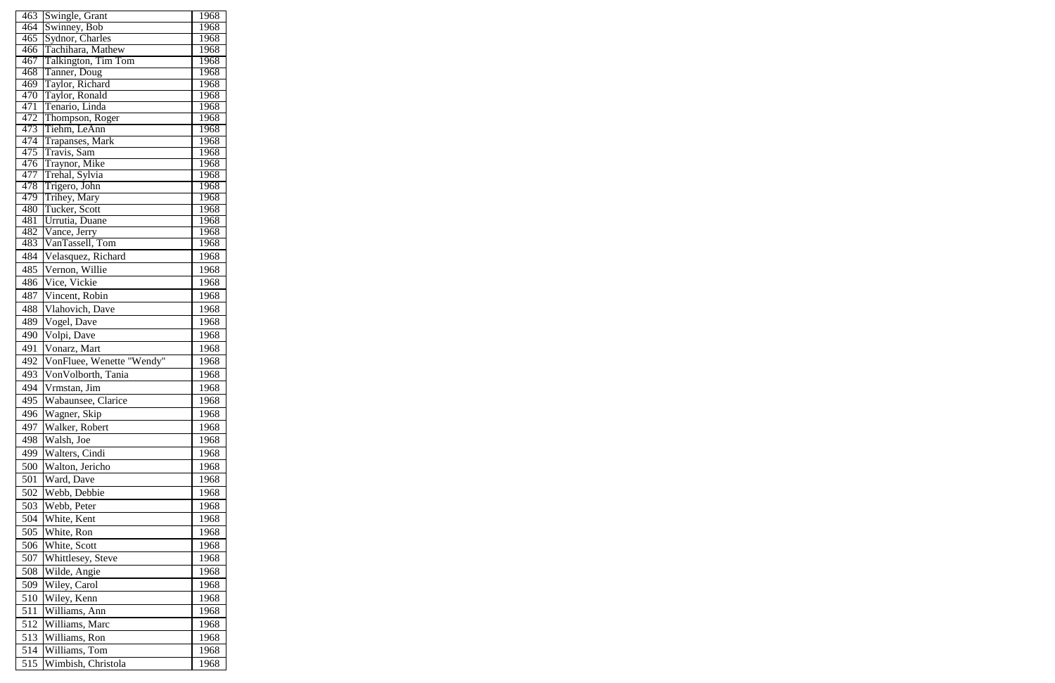| 463        | Swingle, Grant                  | 1968         |
|------------|---------------------------------|--------------|
| 464        | Swinney, Bob                    | 1968         |
| 465        | Sydnor, Charles                 | 1968         |
| 466        | Tachihara, Mathew               | 1968         |
| 467        | Talkington, Tim Tom             | 1968         |
| 468        | Tanner, Doug                    | 1968         |
| 469        | Taylor, Richard                 | 1968         |
| 470        | Taylor, Ronald                  | 1968         |
| 471<br>472 | Tenario, Linda                  | 1968<br>1968 |
| 473        | Thompson, Roger<br>Tiehm, LeAnn | 1968         |
| 474        | <b>Trapanses</b> , Mark         | 1968         |
| 475        | Travis, Sam                     | 1968         |
| 476        | Traynor, Mike                   | 1968         |
| 477        | Trehal, Sylvia                  | 1968         |
| 478        | Trigero, John                   | 1968         |
| 479        | Trihey, Mary                    | 1968         |
| 480        | Tucker, Scott                   | 1968         |
| 481        | Urrutia, Duane                  | 1968         |
| 482        | Vance, Jerry                    | 1968         |
| 483        | VanTassell, Tom                 | 1968         |
| 484        | Velasquez, Richard              | 1968         |
| 485        | Vernon, Willie                  | 1968         |
| 486        | Vice, Vickie                    | 1968         |
| 487        | Vincent, Robin                  | 1968         |
| 488        | Vlahovich, Dave                 | 1968         |
| 489        | Vogel, Dave                     | 1968         |
| 490        | Volpi, Dave                     | 1968         |
| 491        | Vonarz, Mart                    | 1968         |
| 492        | VonFluee, Wenette "Wendy"       | 1968         |
| 493        | VonVolborth, Tania              | 1968         |
| 494        | Vrmstan, Jim                    | 1968         |
|            |                                 |              |
| 495        | Wabaunsee, Clarice              | 1968         |
| 496        | Wagner, Skip                    | 1968         |
| 497        | Walker, Robert                  | 1968         |
| 498        | Walsh, Joe                      | 1968         |
| 499        | Walters, Cindi                  | 1968         |
| 500        | Walton, Jericho                 | 1968         |
| 501        | Ward, Dave                      | 1968         |
| 502        | Webb, Debbie                    | 1968         |
| 503        | Webb, Peter                     | 1968         |
| 504        | White, Kent                     | 1968         |
| 505        | White, Ron                      | 1968         |
| 506        | White, Scott                    | 1968         |
| 507        | Whittlesey, Steve               | 1968         |
| 508        | Wilde, Angie                    | 1968         |
| 509        | Wiley, Carol                    | 1968         |
| 510        | Wiley, Kenn                     | 1968         |
| 511        |                                 | 1968         |
|            | Williams, Ann                   |              |
| 512        | Williams, Marc                  | 1968         |
| 513        | Williams, Ron                   | 1968         |
| 514        | Williams, Tom                   | 1968         |
| 515        | Wimbish, Christola              | 1968         |